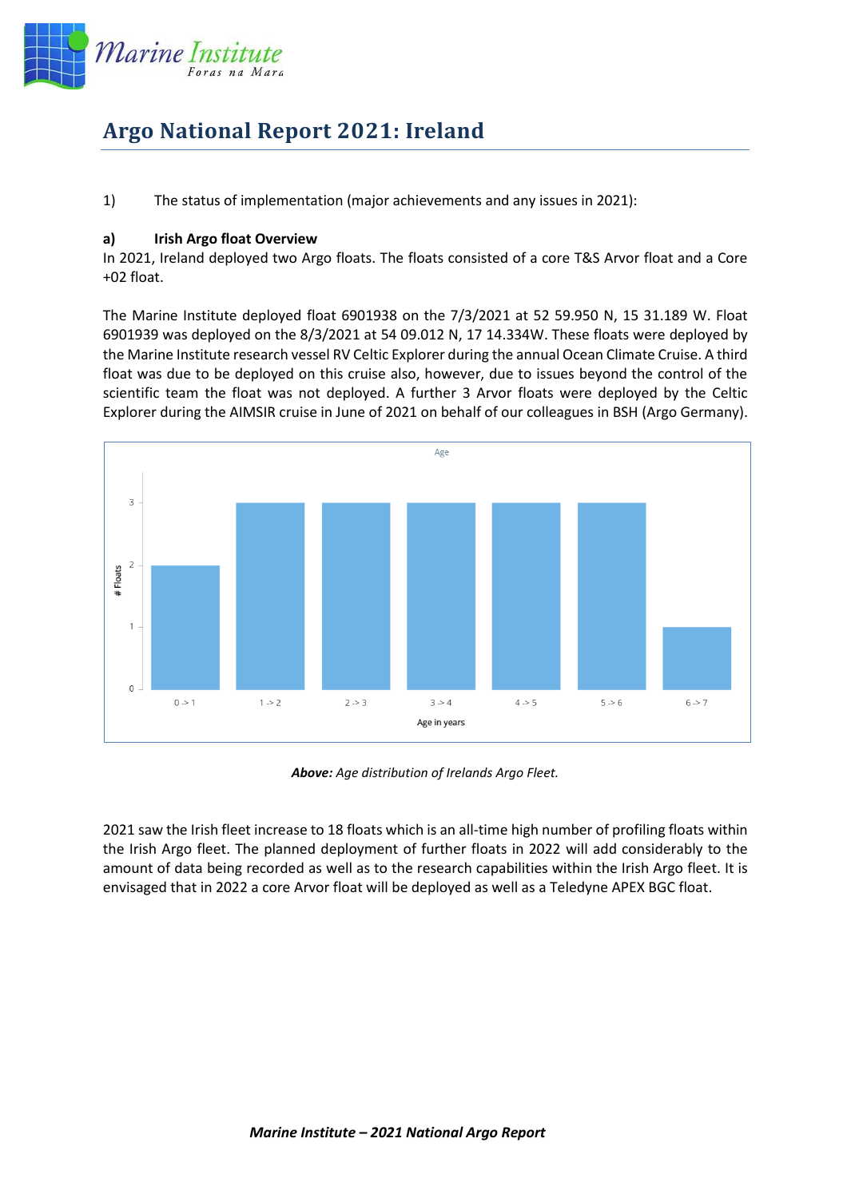

## **Argo National Report 2021: Ireland**

1) The status of implementation (major achievements and any issues in 2021):

## **a) Irish Argo float Overview**

In 2021, Ireland deployed two Argo floats. The floats consisted of a core T&S Arvor float and a Core +02 float.

The Marine Institute deployed float 6901938 on the 7/3/2021 at 52 59.950 N, 15 31.189 W. Float 6901939 was deployed on the 8/3/2021 at 54 09.012 N, 17 14.334W. These floats were deployed by the Marine Institute research vessel RV Celtic Explorer during the annual Ocean Climate Cruise. A third float was due to be deployed on this cruise also, however, due to issues beyond the control of the scientific team the float was not deployed. A further 3 Arvor floats were deployed by the Celtic Explorer during the AIMSIR cruise in June of 2021 on behalf of our colleagues in BSH (Argo Germany).



*Above: Age distribution of Irelands Argo Fleet.*

2021 saw the Irish fleet increase to 18 floats which is an all-time high number of profiling floats within the Irish Argo fleet. The planned deployment of further floats in 2022 will add considerably to the amount of data being recorded as well as to the research capabilities within the Irish Argo fleet. It is envisaged that in 2022 a core Arvor float will be deployed as well as a Teledyne APEX BGC float.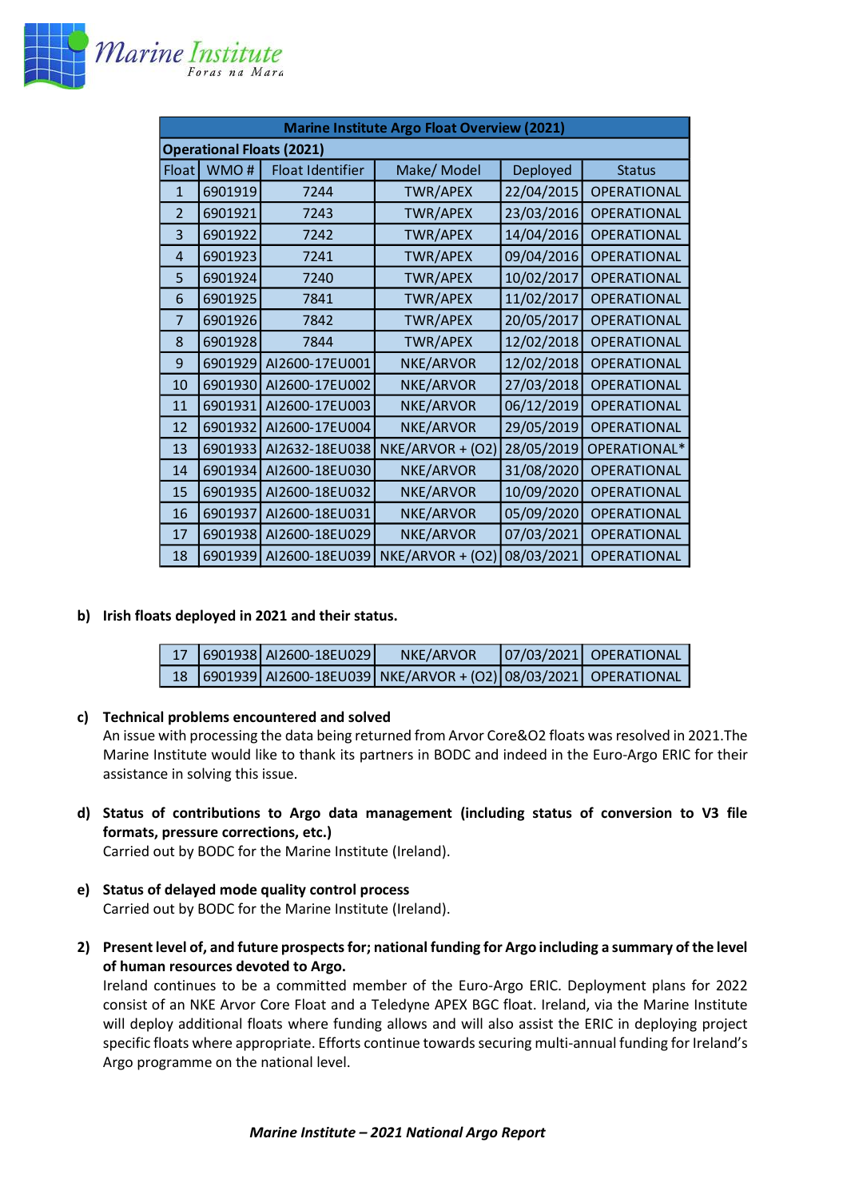

| <b>Marine Institute Argo Float Overview (2021)</b> |         |                         |                  |            |                    |  |  |  |  |
|----------------------------------------------------|---------|-------------------------|------------------|------------|--------------------|--|--|--|--|
| <b>Operational Floats (2021)</b>                   |         |                         |                  |            |                    |  |  |  |  |
| Float                                              | WMO#    | <b>Float Identifier</b> | Make/ Model      | Deployed   | <b>Status</b>      |  |  |  |  |
| $\mathbf{1}$                                       | 6901919 | 7244                    | <b>TWR/APEX</b>  | 22/04/2015 | <b>OPERATIONAL</b> |  |  |  |  |
| $\overline{\phantom{a}}$                           | 6901921 | 7243                    | <b>TWR/APEX</b>  | 23/03/2016 | <b>OPERATIONAL</b> |  |  |  |  |
| 3                                                  | 6901922 | 7242                    | <b>TWR/APEX</b>  | 14/04/2016 | <b>OPERATIONAL</b> |  |  |  |  |
| $\overline{4}$                                     | 6901923 | 7241                    | <b>TWR/APEX</b>  | 09/04/2016 | <b>OPERATIONAL</b> |  |  |  |  |
| 5                                                  | 6901924 | 7240                    | <b>TWR/APEX</b>  | 10/02/2017 | <b>OPERATIONAL</b> |  |  |  |  |
| 6                                                  | 6901925 | 7841                    | <b>TWR/APEX</b>  | 11/02/2017 | <b>OPERATIONAL</b> |  |  |  |  |
| $\overline{7}$                                     | 6901926 | 7842                    | <b>TWR/APEX</b>  | 20/05/2017 | <b>OPERATIONAL</b> |  |  |  |  |
| 8                                                  | 6901928 | 7844                    | <b>TWR/APEX</b>  | 12/02/2018 | <b>OPERATIONAL</b> |  |  |  |  |
| 9                                                  | 6901929 | AI2600-17EU001          | NKE/ARVOR        | 12/02/2018 | <b>OPERATIONAL</b> |  |  |  |  |
| 10                                                 | 6901930 | AI2600-17EU002          | NKE/ARVOR        | 27/03/2018 | <b>OPERATIONAL</b> |  |  |  |  |
| 11                                                 | 6901931 | AI2600-17EU003          | NKE/ARVOR        | 06/12/2019 | <b>OPERATIONAL</b> |  |  |  |  |
| 12                                                 | 6901932 | AI2600-17EU004          | NKE/ARVOR        | 29/05/2019 | <b>OPERATIONAL</b> |  |  |  |  |
| 13                                                 | 6901933 | AI2632-18EU038          | NKE/ARVOR + (O2) | 28/05/2019 | OPERATIONAL*       |  |  |  |  |
| 14                                                 | 6901934 | AI2600-18EU030          | NKE/ARVOR        | 31/08/2020 | <b>OPERATIONAL</b> |  |  |  |  |
| 15                                                 | 6901935 | AI2600-18EU032          | NKE/ARVOR        | 10/09/2020 | <b>OPERATIONAL</b> |  |  |  |  |
| 16                                                 | 6901937 | AI2600-18EU031          | NKE/ARVOR        | 05/09/2020 | <b>OPERATIONAL</b> |  |  |  |  |
| 17                                                 | 6901938 | AI2600-18EU029          | NKE/ARVOR        | 07/03/2021 | <b>OPERATIONAL</b> |  |  |  |  |
| 18                                                 | 6901939 | AI2600-18EU039          | NKE/ARVOR + (O2) | 08/03/2021 | <b>OPERATIONAL</b> |  |  |  |  |

## **b) Irish floats deployed in 2021 and their status.**

|  | 17 6901938 AI2600-18EU029 | NKE/ARVOR                                                         | 07/03/2021 OPERATIONAL |
|--|---------------------------|-------------------------------------------------------------------|------------------------|
|  |                           | 18 6901939 AI2600-18EU039 NKE/ARVOR + (O2) 08/03/2021 OPERATIONAL |                        |

## **c) Technical problems encountered and solved**

An issue with processing the data being returned from Arvor Core&O2 floats was resolved in 2021.The Marine Institute would like to thank its partners in BODC and indeed in the Euro-Argo ERIC for their assistance in solving this issue.

**d) Status of contributions to Argo data management (including status of conversion to V3 file formats, pressure corrections, etc.)**

Carried out by BODC for the Marine Institute (Ireland).

- **e) Status of delayed mode quality control process** Carried out by BODC for the Marine Institute (Ireland).
- **2) Present level of, and future prospects for; national funding for Argo including a summary of the level of human resources devoted to Argo.**

Ireland continues to be a committed member of the Euro-Argo ERIC. Deployment plans for 2022 consist of an NKE Arvor Core Float and a Teledyne APEX BGC float. Ireland, via the Marine Institute will deploy additional floats where funding allows and will also assist the ERIC in deploying project specific floats where appropriate. Efforts continue towards securing multi-annual funding for Ireland's Argo programme on the national level.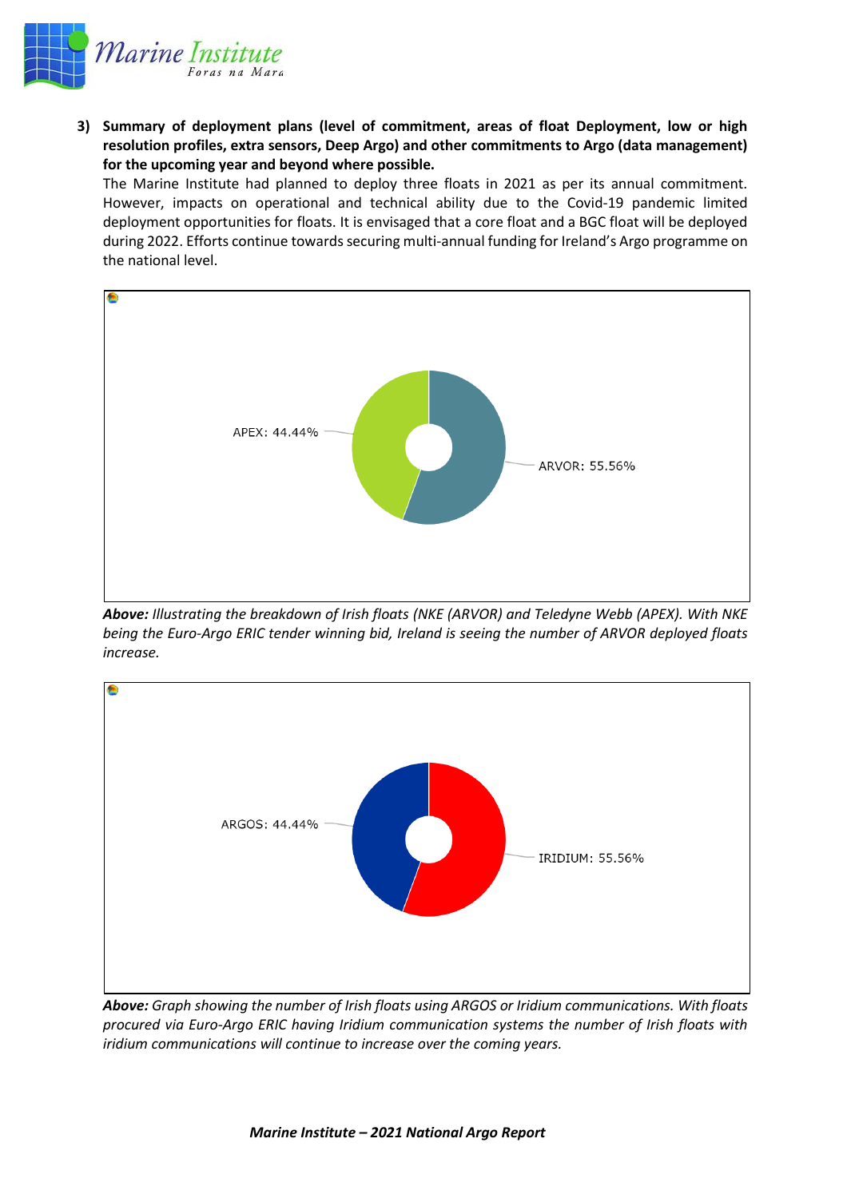

**3) Summary of deployment plans (level of commitment, areas of float Deployment, low or high resolution profiles, extra sensors, Deep Argo) and other commitments to Argo (data management) for the upcoming year and beyond where possible.**

The Marine Institute had planned to deploy three floats in 2021 as per its annual commitment. However, impacts on operational and technical ability due to the Covid-19 pandemic limited deployment opportunities for floats. It is envisaged that a core float and a BGC float will be deployed during 2022. Efforts continue towards securing multi-annual funding for Ireland's Argo programme on the national level.



*Above: Illustrating the breakdown of Irish floats (NKE (ARVOR) and Teledyne Webb (APEX). With NKE being the Euro-Argo ERIC tender winning bid, Ireland is seeing the number of ARVOR deployed floats increase.* 



*Above: Graph showing the number of Irish floats using ARGOS or Iridium communications. With floats procured via Euro-Argo ERIC having Iridium communication systems the number of Irish floats with iridium communications will continue to increase over the coming years.*